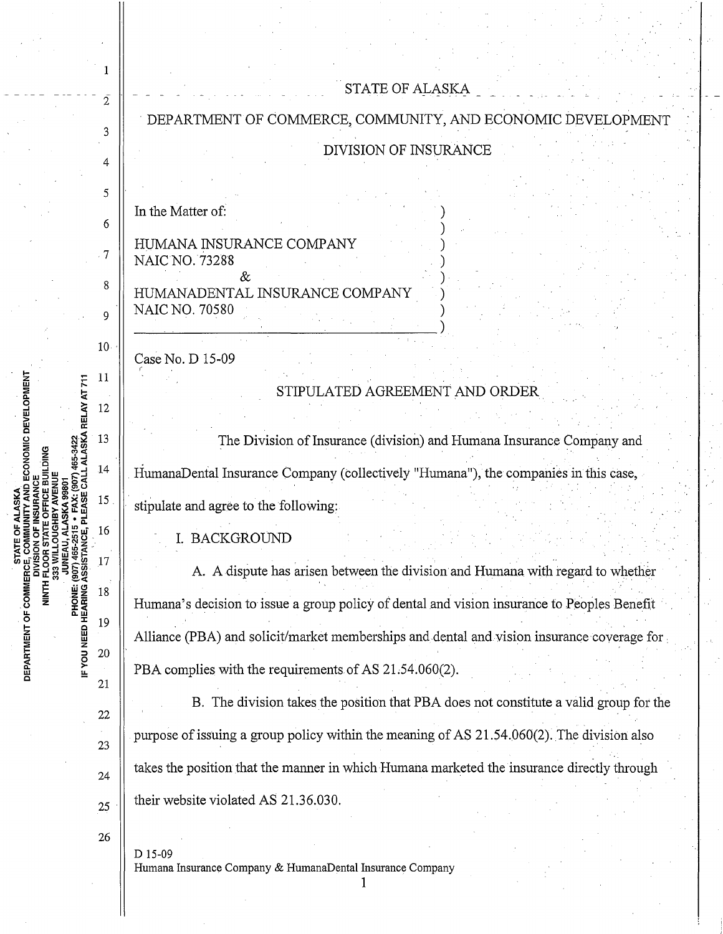|                                                                                                                                        |                 | STATE OF ALASKA                                                                             |
|----------------------------------------------------------------------------------------------------------------------------------------|-----------------|---------------------------------------------------------------------------------------------|
|                                                                                                                                        | 2               |                                                                                             |
|                                                                                                                                        |                 | DEPARTMENT OF COMMERCE, COMMUNITY, AND ECONOMIC DEVELOPMENT                                 |
|                                                                                                                                        |                 | <b>DIVISION OF INSURANCE</b>                                                                |
|                                                                                                                                        | 4               |                                                                                             |
| ECONOMIC DEVELOPMENT<br>465-3422<br>LALASKA RELAY AT 711<br>DEPARTMENT OF COMM<br><b>HINLE</b><br><b>PHONE:</b><br>IF YOU NEED HEARING | 5               |                                                                                             |
|                                                                                                                                        | 6               | In the Matter of:                                                                           |
|                                                                                                                                        | 7               | HUMANA INSURANCE COMPANY<br><b>NAIC NO. 73288</b>                                           |
|                                                                                                                                        | 8               | HUMANADENTAL INSURANCE COMPANY                                                              |
|                                                                                                                                        | Q               | <b>NAIC NO. 70580</b>                                                                       |
|                                                                                                                                        | 10 <sub>1</sub> | Case No. D 15-09                                                                            |
|                                                                                                                                        | 11              |                                                                                             |
|                                                                                                                                        |                 | STIPULATED AGREEMENT AND ORDER                                                              |
|                                                                                                                                        | 12              |                                                                                             |
|                                                                                                                                        | 13              | The Division of Insurance (division) and Humana Insurance Company and                       |
|                                                                                                                                        | 14              | HumanaDental Insurance Company (collectively "Humana"), the companies in this case,         |
|                                                                                                                                        | 15              | stipulate and agree to the following:                                                       |
|                                                                                                                                        | 16              | <b>BACKGROUND</b>                                                                           |
|                                                                                                                                        |                 | A. A dispute has arisen between the division and Humana with regard to whether              |
|                                                                                                                                        | 18              | Humana's decision to issue a group policy of dental and vision insurance to Peoples Benefit |
|                                                                                                                                        | 19              |                                                                                             |
|                                                                                                                                        | 20              | Alliance (PBA) and solicit/market memberships and dental and vision insurance coverage for  |
|                                                                                                                                        | 21              | PBA complies with the requirements of AS 21.54.060(2).                                      |
|                                                                                                                                        |                 | B. The division takes the position that PBA does not constitute a valid group for the       |
|                                                                                                                                        | 22              | purpose of issuing a group policy within the meaning of AS 21.54.060(2). The division also  |
|                                                                                                                                        | 23              |                                                                                             |
|                                                                                                                                        | 24              | takes the position that the manner in which Humana marketed the insurance directly through  |
|                                                                                                                                        | 25              | their website violated AS 21.36.030.                                                        |
|                                                                                                                                        | 26              |                                                                                             |
|                                                                                                                                        |                 | D 15-09<br>Humana Insurance Company & HumanaDental Insurance Company                        |

 $\hat{\boldsymbol{\beta}}$ 

l,

 $\frac{1}{2}$ 

 $\mathbf{r}$ 

l,

 $\ddot{\phantom{a}}$ 

 $\ddot{\phantom{a}}$ 

 $\frac{1}{2}$ 

ù,

1

 $\frac{1}{2}$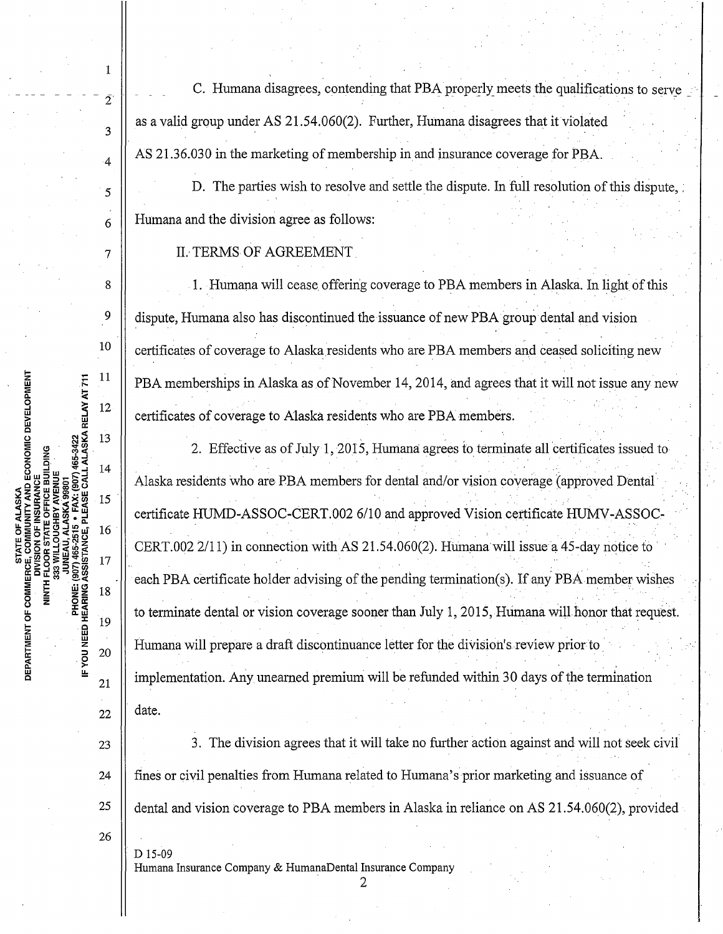C. Humana disagrees, contending that PBA properly meets the qualifications to serve as a valid group under AS 21.54.060(2). Further, Humana disagrees that it violated AS 21.36.030 in the marketing of membership in and insurance coverage for PBA.

D. The parties wish to resolve and settle the dispute. In full resolution of this dispute, Humana and the division agree as follows:

**II. TERMS OF AGREEMENT** 

 $\mathbf{1}$ 

 $\bar{2}$ 

 $\overline{3}$ 

 $\overline{4}$ 

5

6

 $\overline{7}$ 

 $\mathcal{R}$ 

9

10

11

12

13

14

15

16

17

18

19

20

21

 $22.$ 

23

24

25

26

D<sub>15-09</sub>

PHONE: (907) 465-2515 + FAX: (907) 465-3422<br>IF YOU NEED HEARING ASSISTANCE, PLEASE CALL ALASKA RELAY AT 711

STATE OF ALASKA<br>5, COMMUNITY AND ECONOMIC DEVELOPMENT<br>ISION OF INSURANCE

DEPARTMENT OF COMMERCE,

OFFICE BUILDING

**ELOS**<br>333 WI

1. Humana will cease offering coverage to PBA members in Alaska. In light of this dispute, Humana also has discontinued the issuance of new PBA group dental and vision certificates of coverage to Alaska residents who are PBA members and ceased soliciting new PBA memberships in Alaska as of November 14, 2014, and agrees that it will not issue any new certificates of coverage to Alaska residents who are PBA members.

2. Effective as of July 1, 2015, Humana agrees to terminate all certificates issued to Alaska residents who are PBA members for dental and/or vision coverage (approved Dental) certificate HUMD-ASSOC-CERT.002 6/10 and approved Vision certificate HUMV-ASSOC-CERT.002 2/11) in connection with AS 21.54.060(2). Humana will issue a 45-day notice to each PBA certificate holder advising of the pending termination(s). If any PBA member wishes to terminate dental or vision coverage sooner than July 1, 2015, Humana will honor that request. Humana will prepare a draft discontinuance letter for the division's review prior to implementation. Any unearned premium will be refunded within 30 days of the termination date.

3. The division agrees that it will take no further action against and will not seek civil fines or civil penalties from Humana related to Humana's prior marketing and issuance of dental and vision coverage to PBA members in Alaska in reliance on AS 21.54.060(2), provided

Humana Insurance Company & HumanaDental Insurance Company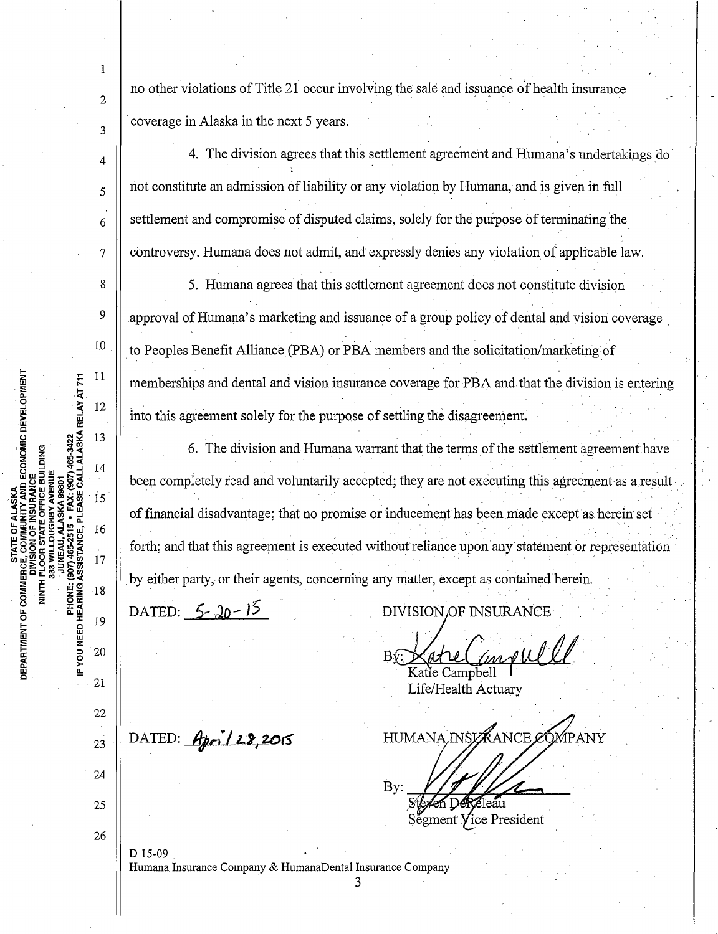**NITY AND ECONOMIC DEVELOPMENT** PHONE: (907) 465-2515 • FAX: (907) 465-3422<br>IF YOU NEED HEARING ASSISTANCE, PLEASE CALL ALASKA RELAY AT 711 **CE BUILDING** NINTH FLOOR S<br>333 WILL DEPARTMENT OF COMMERC

 $\mathbf{1}$ 

 $\overline{2}$ 

 $\overline{3}$ 

 $\overline{4}$ 

5

6

 $\overline{7}$ 

8

9

 $10\,$ 

 $11$ 

12

13

14

 $15$ 

16

17

18

19

20

21

22

23

24

25 26

D 15-09

no other violations of Title 21 occur involving the sale and issuance of health insurance coverage in Alaska in the next 5 years.

4. The division agrees that this settlement agreement and Humana's undertakings do not constitute an admission of liability or any violation by Humana, and is given in full settlement and compromise of disputed claims, solely for the purpose of terminating the controversy. Humana does not admit, and expressly denies any violation of applicable law.

5. Humana agrees that this settlement agreement does not constitute division approval of Humana's marketing and issuance of a group policy of dental and vision coverage to Peoples Benefit Alliance (PBA) or PBA members and the solicitation/marketing of memberships and dental and vision insurance coverage for PBA and that the division is entering into this agreement solely for the purpose of settling the disagreement.

6. The division and Humana warrant that the terms of the settlement agreement have been completely read and voluntarily accepted; they are not executing this agreement as a result of financial disadvantage; that no promise or inducement has been made except as herein set forth; and that this agreement is executed without reliance upon any statement or representation by either party, or their agents, concerning any matter, except as contained herein.

DATED:  $5 - 20 - 15$ 

DATED:  $Apc128,2015$ 

**DIVISION OF INSURANCE** 

moul

Katie Campbell Life/Health Actuary

HUMANA INSURANCE COMPANY

By: leau

Segment Vice President

Humana Insurance Company & HumanaDental Insurance Company

3